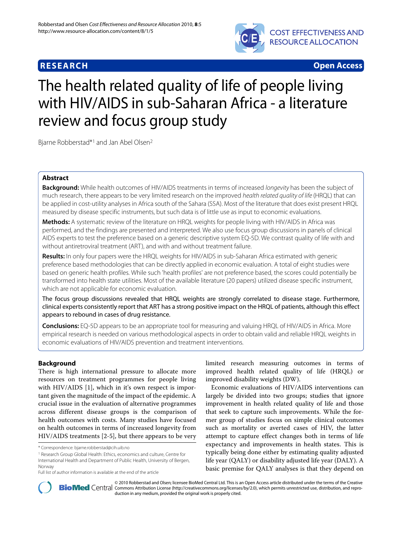

## **RESEARCH Open Access**

# The health related quality of life of people living with HIV/AIDS in sub-Saharan Africa - a literature review and focus group study

Bjarne Robberstad\*1 and Jan Abel Olsen2

## **Abstract**

**Background:** While health outcomes of HIV/AIDS treatments in terms of increased longevity has been the subject of much research, there appears to be very limited research on the improved health related quality of life (HRQL) that can be applied in cost-utility analyses in Africa south of the Sahara (SSA). Most of the literature that does exist present HRQL measured by disease specific instruments, but such data is of little use as input to economic evaluations.

**Methods:** A systematic review of the literature on HRQL weights for people living with HIV/AIDS in Africa was performed, and the findings are presented and interpreted. We also use focus group discussions in panels of clinical AIDS experts to test the preference based on a generic descriptive system EQ-5D. We contrast quality of life with and without antiretroviral treatment (ART), and with and without treatment failure.

**Results:** In only four papers were the HRQL weights for HIV/AIDS in sub-Saharan Africa estimated with generic preference based methodologies that can be directly applied in economic evaluation. A total of eight studies were based on generic health profiles. While such 'health profiles' are not preference based, the scores could potentially be transformed into health state utilities. Most of the available literature (20 papers) utilized disease specific instrument, which are not applicable for economic evaluation.

The focus group discussions revealed that HRQL weights are strongly correlated to disease stage. Furthermore, clinical experts consistently report that ART has a strong positive impact on the HRQL of patients, although this effect appears to rebound in cases of drug resistance.

**Conclusions:** EQ-5D appears to be an appropriate tool for measuring and valuing HRQL of HIV/AIDS in Africa. More empirical research is needed on various methodological aspects in order to obtain valid and reliable HRQL weights in economic evaluations of HIV/AIDS prevention and treatment interventions.

## **Background**

There is high international pressure to allocate more resources on treatment programmes for people living with HIV/AIDS [\[1](#page-9-0)], which in it's own respect is important given the magnitude of the impact of the epidemic. A crucial issue in the evaluation of alternative programmes across different disease groups is the comparison of health outcomes with costs. Many studies have focused on health outcomes in terms of increased longevity from HIV/AIDS treatments [[2](#page-9-1)[-5\]](#page-9-2), but there appears to be very

1 Research Group Global Health: Ethics, economics and culture, Centre for International Health and Department of Public Health, University of Bergen, Norway

limited research measuring outcomes in terms of improved health related quality of life (HRQL) or improved disability weights (DW).

Economic evaluations of HIV/AIDS interventions can largely be divided into two groups; studies that ignore improvement in health related quality of life and those that seek to capture such improvements. While the former group of studies focus on simple clinical outcomes such as mortality or averted cases of HIV, the latter attempt to capture effect changes both in terms of life expectancy and improvements in health states. This is typically being done either by estimating quality adjusted life year (QALY) or disability adjusted life year (DALY). A basic premise for QALY analyses is that they depend on



© 2010 Robberstad and Olsen; licensee [BioMed](http://www.biomedcentral.com/) Central Ltd. This is an Open Access article distributed under the terms of the Creative<br>-Bio Med Central Commons Attribution License (http://creativecommons.org/licenses/by/2.0) duction in any medium, provided the original work is properly cited.

<sup>\*</sup> Correspondence: bjarne.robberstad@cih.uib.no

Full list of author information is available at the end of the article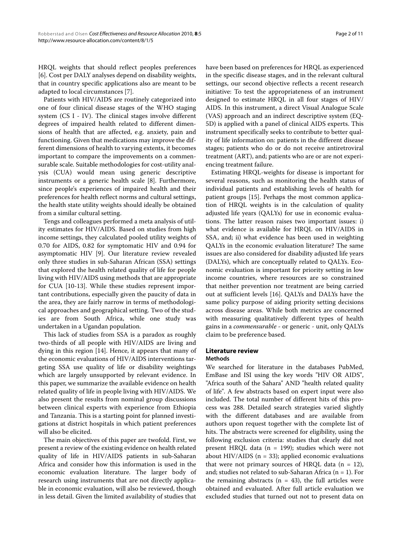HRQL weights that should reflect peoples preferences [[6\]](#page-9-3). Cost per DALY analyses depend on disability weights, that in country specific applications also are meant to be adapted to local circumstances [[7\]](#page-9-4).

Patients with HIV/AIDS are routinely categorized into one of four clinical disease stages of the WHO staging system (CS I - IV). The clinical stages involve different degrees of impaired health related to different dimensions of health that are affected, e.g. anxiety, pain and functioning. Given that medications may improve the different dimensions of health to varying extents, it becomes important to compare the improvements on a commensurable scale. Suitable methodologies for cost-utility analysis (CUA) would mean using generic descriptive instruments or a generic health scale [[8](#page-9-5)]. Furthermore, since people's experiences of impaired health and their preferences for health reflect norms and cultural settings, the health state utility weights should ideally be obtained from a similar cultural setting.

Tengs and colleagues performed a meta analysis of utility estimates for HIV/AIDS. Based on studies from high income settings, they calculated pooled utility weights of 0.70 for AIDS, 0.82 for symptomatic HIV and 0.94 for asymptomatic HIV [[9\]](#page-9-6). Our literature review revealed only three studies in sub-Saharan African (SSA) settings that explored the health related quality of life for people living with HIV/AIDS using methods that are appropriate for CUA [\[10](#page-9-7)-[13\]](#page-9-8). While these studies represent important contributions, especially given the paucity of data in the area, they are fairly narrow in terms of methodological approaches and geographical setting. Two of the studies are from South Africa, while one study was undertaken in a Ugandan population.

This lack of studies from SSA is a paradox as roughly two-thirds of all people with HIV/AIDS are living and dying in this region [\[14](#page-10-0)]. Hence, it appears that many of the economic evaluations of HIV/AIDS interventions targeting SSA use quality of life or disability weightings which are largely unsupported by relevant evidence. In this paper, we summarize the available evidence on health related quality of life in people living with HIV/AIDS. We also present the results from nominal group discussions between clinical experts with experience from Ethiopia and Tanzania. This is a starting point for planned investigations at district hospitals in which patient preferences will also be elicited.

The main objectives of this paper are twofold. First, we present a review of the existing evidence on health related quality of life in HIV/AIDS patients in sub-Saharan Africa and consider how this information is used in the economic evaluation literature. The larger body of research using instruments that are not directly applicable in economic evaluation, will also be reviewed, though in less detail. Given the limited availability of studies that have been based on preferences for HRQL as experienced in the specific disease stages, and in the relevant cultural settings, our second objective reflects a recent research initiative: To test the appropriateness of an instrument designed to estimate HRQL in all four stages of HIV/ AIDS. In this instrument, a direct Visual Analogue Scale (VAS) approach and an indirect descriptive system (EQ-5D) is applied with a panel of clinical AIDS experts. This instrument specifically seeks to contribute to better quality of life information on: patients in the different disease stages; patients who do or do not receive antiretroviral treatment (ART), and; patients who are or are not experiencing treatment failure.

Estimating HRQL-weights for disease is important for several reasons, such as monitoring the health status of individual patients and establishing levels of health for patient groups [\[15](#page-10-1)]. Perhaps the most common application of HRQL weights is in the calculation of quality adjusted life years (QALYs) for use in economic evaluations. The latter reason raises two important issues: i) what evidence is available for HRQL on HIV/AIDS in SSA, and; ii) what evidence has been used in weighting QALYs in the economic evaluation literature? The same issues are also considered for disability adjusted life years (DALYs), which are conceptually related to QALYs. Economic evaluation is important for priority setting in low income countries, where resources are so constrained that neither prevention nor treatment are being carried out at sufficient levels [[16\]](#page-10-2). QALYs and DALYs have the same policy purpose of aiding priority setting decisions across disease areas. While both metrics are concerned with measuring qualitatively different types of health gains in a *commensurable* - or generic - unit, only QALYs claim to be preference based.

#### **Literature review Methods**

We searched for literature in the databases PubMed, EmBase and ISI using the key words "HIV OR AIDS", "Africa south of the Sahara" AND "health related quality of life". A few abstracts based on expert input were also included. The total number of different hits of this process was 288. Detailed search strategies varied slightly with the different databases and are available from authors upon request together with the complete list of hits. The abstracts were screened for eligibility, using the following exclusion criteria: studies that clearly did not present HRQL data (n = 199); studies which were not about HIV/AIDS ( $n = 33$ ); applied economic evaluations that were not primary sources of HRQL data  $(n = 12)$ , and; studies not related to sub-Saharan Africa ( $n = 1$ ). For the remaining abstracts  $(n = 43)$ , the full articles were obtained and evaluated. After full article evaluation we excluded studies that turned out not to present data on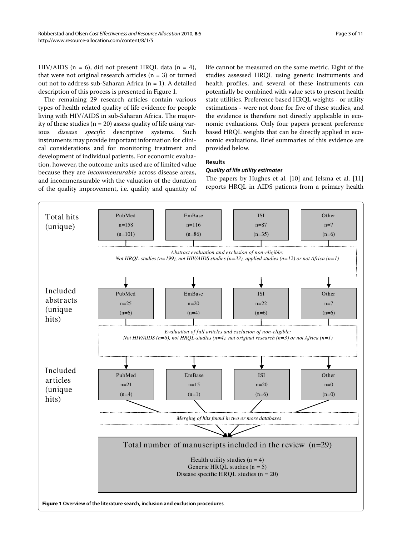HIV/AIDS ( $n = 6$ ), did not present HRQL data ( $n = 4$ ), that were not original research articles  $(n = 3)$  or turned out not to address sub-Saharan Africa (n = 1). A detailed description of this process is presented in Figure [1.](#page-2-0)

The remaining 29 research articles contain various types of health related quality of life evidence for people living with HIV/AIDS in sub-Saharan Africa. The majority of these studies ( $n = 20$ ) assess quality of life using various *disease specific* descriptive systems. Such instruments may provide important information for clinical considerations and for monitoring treatment and development of individual patients. For economic evaluation, however, the outcome units used are of limited value because they are *incommensurable* across disease areas, and incommensurable with the valuation of the duration of the quality improvement, i.e. quality and quantity of life cannot be measured on the same metric. Eight of the studies assessed HRQL using generic instruments and health profiles, and several of these instruments can potentially be combined with value sets to present health state utilities. Preference based HRQL weights - or utility estimations - were not done for five of these studies, and the evidence is therefore not directly applicable in economic evaluations. Only four papers present preference based HRQL weights that can be directly applied in economic evaluations. Brief summaries of this evidence are provided below.

## **Results**

## **Quality of life utility estimates**

The papers by Hughes et al. [[10\]](#page-9-7) and Jelsma et al. [[11](#page-9-9)] reports HRQL in AIDS patients from a primary health

<span id="page-2-0"></span>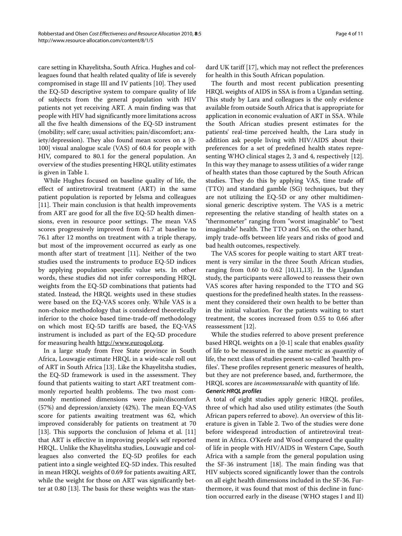care setting in Khayelitsha, South Africa. Hughes and colleagues found that health related quality of life is severely compromised in stage III and IV patients [\[10](#page-9-7)]. They used the EQ-5D descriptive system to compare quality of life of subjects from the general population with HIV patients not yet receiving ART. A main finding was that people with HIV had significantly more limitations across all the five health dimensions of the EQ-5D instrument (mobility; self care; usual activities; pain/discomfort; anxiety/depression). They also found mean scores on a [0- 100] visual analogue scale (VAS) of 60.4 for people with HIV, compared to 80.1 for the general population. An overview of the studies presenting HRQL utility estimates is given in Table [1](#page-4-0).

While Hughes focused on baseline quality of life, the effect of antiretroviral treatment (ART) in the same patient population is reported by Jelsma and colleagues [[11\]](#page-9-9). Their main conclusion is that health improvements from ART are good for all the five EQ-5D health dimensions, even in resource poor settings. The mean VAS scores progressively improved from 61.7 at baseline to 76.1 after 12 months on treatment with a triple therapy, but most of the improvement occurred as early as one month after start of treatment [\[11](#page-9-9)]. Neither of the two studies used the instruments to produce EQ-5D indices by applying population specific value sets. In other words, these studies did not infer corresponding HRQL weights from the EQ-5D combinations that patients had stated. Instead, the HRQL weights used in these studies were based on the EQ-VAS scores only. While VAS is a non-choice methodology that is considered theoretically inferior to the choice based time-trade-off methodology on which most EQ-5D tariffs are based, the EQ-VAS instrument is included as part of the EQ-5D procedure for measuring health [http://www.euroqol.org.](http://www.euroqol.org)

In a large study from Free State province in South Africa, Louwagie estimate HRQL in a wide-scale roll out of ART in South Africa [[13\]](#page-9-8). Like the Khayelitsha studies, the EQ-5D framework is used in the assessment. They found that patients waiting to start ART treatment commonly reported health problems. The two most commonly mentioned dimensions were pain/discomfort (57%) and depression/anxiety (42%). The mean EQ-VAS score for patients awaiting treatment was 62, which improved considerably for patients on treatment at 70 [[13\]](#page-9-8). This supports the conclusion of Jelsma et al. [[11](#page-9-9)] that ART is effective in improving people's self reported HRQL. Unlike the Khayelitsha studies, Louwagie and colleagues also converted the EQ-5D profiles for each patient into a single weighted EQ-5D index. This resulted in mean HRQL weights of 0.69 for patients awaiting ART, while the weight for those on ART was significantly better at 0.80 [[13\]](#page-9-8). The basis for these weights was the stan-

dard UK tariff [[17](#page-10-3)], which may not reflect the preferences for health in this South African population.

The fourth and most recent publication presenting HRQL weights of AIDS in SSA is from a Ugandan setting. This study by Lara and colleagues is the only evidence available from outside South Africa that is appropriate for application in economic evaluation of ART in SSA. While the South African studies present estimates for the patients' real-time perceived health, the Lara study in addition ask people living with HIV/AIDS about their preferences for a set of predefined health states representing WHO clinical stages 2, 3 and 4, respectively [\[12](#page-9-10)]. In this way they manage to assess utilities of a wider range of health states than those captured by the South African studies. They do this by applying VAS, time trade off (TTO) and standard gamble (SG) techniques, but they are not utilizing the EQ-5D or any other multidimensional generic descriptive system. The VAS is a metric representing the relative standing of health states on a "thermometer" ranging from "worst imaginable" to "best imaginable" health. The TTO and SG, on the other hand, imply trade-offs between life years and risks of good and bad health outcomes, respectively.

The VAS scores for people waiting to start ART treatment is very similar in the three South African studies, ranging from 0.60 to 0.62 [[10,](#page-9-7)[11,](#page-9-9)[13\]](#page-9-8). In the Ugandan study, the participants were allowed to reassess their own VAS scores after having responded to the TTO and SG questions for the predefined health states. In the reassessment they considered their own health to be better than in the initial valuation. For the patients waiting to start treatment, the scores increased from 0.55 to 0.66 after reassessment [\[12\]](#page-9-10).

While the studies referred to above present preference based HRQL weights on a [0-1] scale that enables *quality* of life to be measured in the same metric as *quantity* of life, the next class of studies present so-called 'health profiles'. These profiles represent generic measures of health, but they are not preference based, and, furthermore, the HRQL scores are *incommensurable* with quantity of life. **Generic HRQL profiles**

A total of eight studies apply generic HRQL profiles, three of which had also used utility estimates (the South African papers referred to above). An overview of this literature is given in Table 2. Two of the studies were done before widespread introduction of antiretroviral treatment in Africa. O'Keefe and Wood compared the quality of life in people with HIV/AIDS in Western Cape, South Africa with a sample from the general population using the SF-36 instrument [\[18](#page-10-4)]. The main finding was that HIV subjects scored significantly lower than the controls on all eight health dimensions included in the SF-36. Furthermore, it was found that most of this decline in function occurred early in the disease (WHO stages I and II)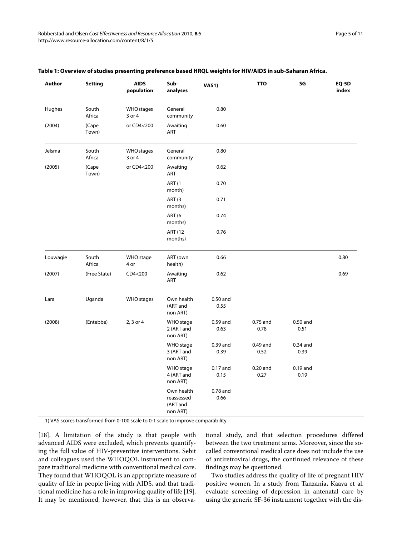| <b>Author</b> | <b>Setting</b>  | <b>AIDS</b><br>population   | Sub-<br>analyses                                 | <b>VAS1)</b>       | <b>TTO</b>         | SG                 | <b>EQ-5D</b><br>index |
|---------------|-----------------|-----------------------------|--------------------------------------------------|--------------------|--------------------|--------------------|-----------------------|
| Hughes        | South<br>Africa | <b>WHO</b> stages<br>3 or 4 | General<br>community                             | 0.80               |                    |                    |                       |
| (2004)        | (Cape<br>Town)  | or CD4<200                  | Awaiting<br>ART                                  | 0.60               |                    |                    |                       |
| Jelsma        | South<br>Africa | <b>WHO</b> stages<br>3 or 4 | General<br>community                             | 0.80               |                    |                    |                       |
| (2005)        | (Cape<br>Town)  | or CD4<200                  | Awaiting<br>ART                                  | 0.62               |                    |                    |                       |
|               |                 |                             | <b>ART (1</b><br>month)                          | 0.70               |                    |                    |                       |
|               |                 |                             | ART <sub>(3</sub><br>months)                     | 0.71               |                    |                    |                       |
|               |                 |                             | <b>ART (6</b><br>months)                         | 0.74               |                    |                    |                       |
|               |                 |                             | <b>ART (12</b><br>months)                        | 0.76               |                    |                    |                       |
| Louwagie      | South<br>Africa | WHO stage<br>4 or           | ART (own<br>health)                              | 0.66               |                    |                    | 0.80                  |
| (2007)        | (Free State)    | CD4<200                     | Awaiting<br>ART                                  | 0.62               |                    |                    | 0.69                  |
| Lara          | Uganda          | WHO stages                  | Own health<br>(ART and<br>non ART)               | $0.50$ and<br>0.55 |                    |                    |                       |
| (2008)        | (Entebbe)       | 2, 3 or 4                   | WHO stage<br>2 (ART and<br>non ART)              | $0.59$ and<br>0.63 | $0.75$ and<br>0.78 | $0.50$ and<br>0.51 |                       |
|               |                 |                             | WHO stage<br>3 (ART and<br>non ART)              | 0.39 and<br>0.39   | 0.49 and<br>0.52   | $0.34$ and<br>0.39 |                       |
|               |                 |                             | WHO stage<br>4 (ART and<br>non ART)              | $0.17$ and<br>0.15 | $0.20$ and<br>0.27 | $0.19$ and<br>0.19 |                       |
|               |                 |                             | Own health<br>reassessed<br>(ART and<br>non ART) | $0.78$ and<br>0.66 |                    |                    |                       |

#### <span id="page-4-0"></span>**Table 1: Overview of studies presenting preference based HRQL weights for HIV/AIDS in sub-Saharan Africa.**

1) VAS scores transformed from 0-100 scale to 0-1 scale to improve comparability.

[[18\]](#page-10-4). A limitation of the study is that people with advanced AIDS were excluded, which prevents quantifying the full value of HIV-preventive interventions. Sebit and colleagues used the WHOQOL instrument to compare traditional medicine with conventional medical care. They found that WHOQOL is an appropriate measure of quality of life in people living with AIDS, and that traditional medicine has a role in improving quality of life [\[19](#page-10-5)]. It may be mentioned, however, that this is an observa-

tional study, and that selection procedures differed between the two treatment arms. Moreover, since the socalled conventional medical care does not include the use of antiretroviral drugs, the continued relevance of these findings may be questioned.

Two studies address the quality of life of pregnant HIV positive women. In a study from Tanzania, Kaaya et al. evaluate screening of depression in antenatal care by using the generic SF-36 instrument together with the dis-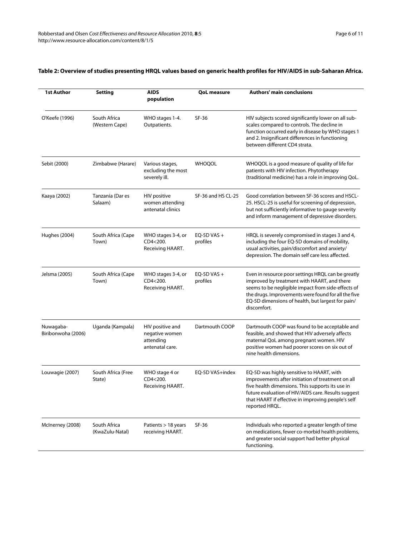#### 1st Author **Setting AIDS population QoL measure Authors' main conclusions** O'Keefe (1996) South Africa (Western Cape) WHO stages 1-4. Outpatients. SF-36 HIV subjects scored significantly lower on all subscales compared to controls. The decline in function occurred early in disease by WHO stages 1 and 2. Insignificant differences in functioning between different CD4 strata. Sebit (2000) Zimbabwe (Harare) Various stages, excluding the most severely ill. WHOQOL WHOQOL is a good measure of quality of life for patients with HIV infection. Phytotherapy (traditional medicine) has a role in improving QoL. Kaaya (2002) Tanzania (Dar es Salaam) HIV positive women attending antenatal clinics SF-36 and HS CL-25 Good correlation between SF-36 scores and HSCL-25. HSCL-25 is useful for screening of depression, but not sufficiently informative to gauge severity and inform management of depressive disorders. Hughes (2004) South Africa (Cape Town) WHO stages 3-4, or CD4<200. Receiving HAART. EQ-5D VAS  $+$ profiles HRQL is severely compromised in stages 3 and 4, including the four EQ-5D domains of mobility, usual activities, pain/discomfort and anxiety/ depression. The domain self care less affected. Jelsma (2005) South Africa (Cape Town) WHO stages 3-4, or CD4<200. Receiving HAART. EQ-5D VAS  $+$ profiles Even in resource poor settings HRQL can be greatly improved by treatment with HAART, and there seems to be negligible impact from side-effects of the drugs. Improvements were found for all the five EQ-5D dimensions of health, but largest for pain/ discomfort. Nuwagaba-Biribonwoha (2006) Uganda (Kampala) HIV positive and negative women attending antenatal care. Dartmouth COOP Dartmouth COOP was found to be acceptable and feasible, and showed that HIV adversely affects maternal QoL among pregnant women. HIV positive women had poorer scores on six out of nine health dimensions. Louwagie (2007) South Africa (Free State) WHO stage 4 or  $CD4 < 200$ Receiving HAART. EQ-5D VAS+index EQ-5D was highly sensitive to HAART, with improvements after initiation of treatment on all five health dimensions. This supports its use in future evaluation of HIV/AIDS care. Results suggest that HAART if effective in improving people's self reported HRQL. McInerney (2008) South Africa (KwaZulu-Natal) Patients > 18 years receiving HAART. SF-36 Individuals who reported a greater length of time on medications, fewer co-morbid health problems, and greater social support had better physical functioning.

#### **Table 2: Overview of studies presenting HRQL values based on generic health profiles for HIV/AIDS in sub-Saharan Africa.**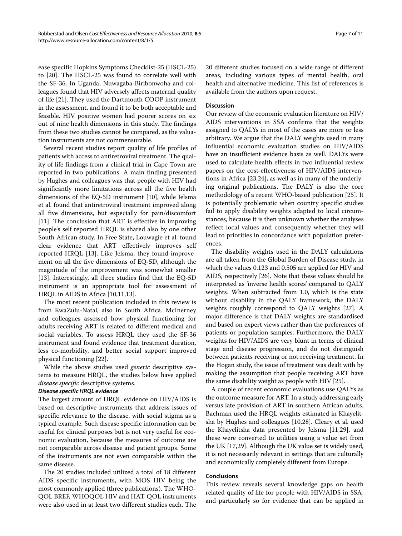to [[20\]](#page-10-6). The HSCL-25 was found to correlate well with the SF-36. In Uganda, Nuwagaba-Biribonwoha and colleagues found that HIV adversely affects maternal quality of life [[21\]](#page-10-7). They used the Dartmouth COOP instrument in the assessment, and found it to be both acceptable and feasible. HIV positive women had poorer scores on six out of nine health dimensions in this study. The findings from these two studies cannot be compared, as the valuation instruments are not commensurable.

Several recent studies report quality of life profiles of patients with access to antiretroviral treatment. The quality of life findings from a clinical trial in Cape Town are reported in two publications. A main finding presented by Hughes and colleagues was that people with HIV had significantly more limitations across all the five health dimensions of the EQ-5D instrument [[10\]](#page-9-7), while Jelsma et al. found that antiretroviral treatment improved along all five dimensions, but especially for pain/discomfort [[11\]](#page-9-9). The conclusion that ART is effective in improving people's self reported HRQL is shared also by one other South African study. In Free State, Louwagie et al. found clear evidence that ART effectively improves self reported HRQL [\[13\]](#page-9-8). Like Jelsma, they found improvement on all the five dimensions of EQ-5D, although the magnitude of the improvement was somewhat smaller [[13\]](#page-9-8). Interestingly, all three studies find that the EQ-5D instrument is an appropriate tool for assessment of HRQL in AIDS in Africa [\[10](#page-9-7)[,11](#page-9-9),[13](#page-9-8)].

The most recent publication included in this review is from KwaZulu-Natal, also in South Africa. McInerney and colleagues assessed how physical functioning for adults receiving ART is related to different medical and social variables. To assess HRQL they used the SF-36 instrument and found evidence that treatment duration, less co-morbidity, and better social support improved physical functioning [\[22\]](#page-10-8).

While the above studies used *generic* descriptive systems to measure HRQL, the studies below have applied *disease specific* descriptive systems.

### **Disease specific HRQL evidence**

The largest amount of HRQL evidence on HIV/AIDS is based on descriptive instruments that address issues of specific relevance to the disease, with social stigma as a typical example. Such disease specific information can be useful for clinical purposes but is not very useful for economic evaluation, because the measures of outcome are not comparable across disease and patient groups. Some of the instruments are not even comparable within the same disease.

The 20 studies included utilized a total of 18 different AIDS specific instruments, with MOS HIV being the most commonly applied (three publications). The WHO-QOL BREF, WHOQOL HIV and HAT-QOL instruments were also used in at least two different studies each. The 20 different studies focused on a wide range of different areas, including various types of mental health, oral health and alternative medicine. This list of references is available from the authors upon request.

## **Discussion**

Our review of the economic evaluation literature on HIV/ AIDS interventions in SSA confirms that the weights assigned to QALYs in most of the cases are more or less arbitrary. We argue that the DALY weights used in many influential economic evaluation studies on HIV/AIDS have an insufficient evidence basis as well. DALYs were used to calculate health effects in two influential review papers on the cost-effectiveness of HIV/AIDS interventions in Africa [[23,](#page-10-9)[24\]](#page-10-10), as well as in many of the underlying original publications. The DALY is also the core methodology of a recent WHO-based publication [\[25](#page-10-11)]. It is potentially problematic when country specific studies fail to apply disability weights adapted to local circumstances, because it is then unknown whether the analyses reflect local values and consequently whether they will lead to priorities in concordance with population preferences.

The disability weights used in the DALY calculations are all taken from the Global Burden of Disease study, in which the values 0.123 and 0.505 are applied for HIV and AIDS, respectively [[26](#page-10-12)]. Note that these values should be interpreted as 'inverse health scores' compared to QALY weights. When subtracted from 1.0, which is the state without disability in the QALY framework, the DALY weights roughly correspond to QALY weights [[27](#page-10-13)]. A major difference is that DALY weights are standardised and based on expert views rather than the preferences of patients or population samples. Furthermore, the DALY weights for HIV/AIDS are very blunt in terms of clinical stage and disease progression, and do not distinguish between patients receiving or not receiving treatment. In the Hogan study, the issue of treatment was dealt with by making the assumption that people receiving ART have the same disability weight as people with HIV [\[25](#page-10-11)].

A couple of recent economic evaluations use QALYs as the outcome measure for ART. In a study addressing early versus late provision of ART in southern African adults, Bachman used the HRQL weights estimated in Khayelitsha by Hughes and colleagues [\[10](#page-9-7),[28](#page-10-14)]. Cleary et al. used the Khayelitsha data presented by Jelsma [\[11](#page-9-9)[,29](#page-10-15)], and these were converted to utilities using a value set from the UK [[17](#page-10-3),[29](#page-10-15)]. Although the UK value set is widely used, it is not necessarily relevant in settings that are culturally and economically completely different from Europe.

#### **Conclusions**

This review reveals several knowledge gaps on health related quality of life for people with HIV/AIDS in SSA, and particularly so for evidence that can be applied in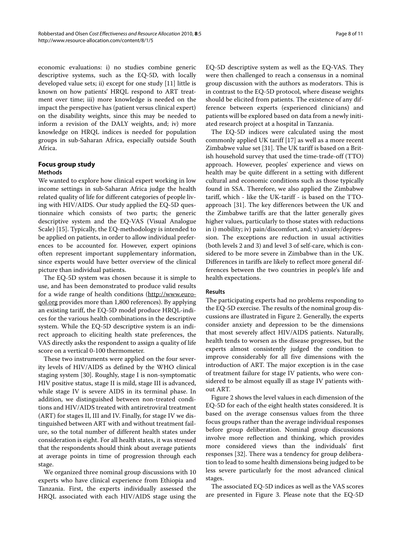economic evaluations: i) no studies combine generic descriptive systems, such as the EQ-5D, with locally developed value sets; ii) except for one study [[11\]](#page-9-9) little is known on how patients' HRQL respond to ART treatment over time; iii) more knowledge is needed on the impact the perspective has (patient versus clinical expert) on the disability weights, since this may be needed to inform a revision of the DALY weights, and; iv) more knowledge on HRQL indices is needed for population groups in sub-Saharan Africa, especially outside South Africa.

## **Focus group study Methods**

We wanted to explore how clinical expert working in low income settings in sub-Saharan Africa judge the health related quality of life for different categories of people living with HIV/AIDS. Our study applied the EQ-5D questionnaire which consists of two parts; the generic descriptive system and the EQ-VAS (Visual Analogue Scale) [[15](#page-10-1)]. Typically, the EQ-methodology is intended to be applied on patients, in order to allow individual preferences to be accounted for. However, expert opinions often represent important supplementary information, since experts would have better overview of the clinical picture than individual patients.

The EQ-5D system was chosen because it is simple to use, and has been demonstrated to produce valid results for a wide range of health conditions [\(http://www.euro](http://www.euroqol.org)[qol.org](http://www.euroqol.org) provides more than 1,800 references). By applying an existing tariff, the EQ-5D model produce HRQL-indices for the various health combinations in the descriptive system. While the EQ-5D descriptive system is an indirect approach to eliciting health state preferences, the VAS directly asks the respondent to assign a quality of life score on a vertical 0-100 thermometer.

These two instruments were applied on the four severity levels of HIV/AIDS as defined by the WHO clinical staging system [[30](#page-10-16)]. Roughly, stage I is non-symptomatic HIV positive status, stage II is mild, stage III is advanced, while stage IV is severe AIDS in its terminal phase. In addition, we distinguished between non-treated conditions and HIV/AIDS treated with antiretroviral treatment (ART) for stages II, III and IV. Finally, for stage IV we distinguished between ART with and without treatment failure, so the total number of different health states under consideration is eight. For all health states, it was stressed that the respondents should think about average patients at average points in time of progression through each stage.

We organized three nominal group discussions with 10 experts who have clinical experience from Ethiopia and Tanzania. First, the experts individually assessed the HRQL associated with each HIV/AIDS stage using the

EQ-5D descriptive system as well as the EQ-VAS. They were then challenged to reach a consensus in a nominal group discussion with the authors as moderators. This is in contrast to the EQ-5D protocol, where disease weights should be elicited from patients. The existence of any difference between experts (experienced clinicians) and patients will be explored based on data from a newly initiated research project at a hospital in Tanzania.

The EQ-5D indices were calculated using the most commonly applied UK tariff [[17](#page-10-3)] as well as a more recent Zimbabwe value set [\[31\]](#page-10-17). The UK tariff is based on a British household survey that used the time-trade-off (TTO) approach. However, peoples' experience and views on health may be quite different in a setting with different cultural and economic conditions such as those typically found in SSA. Therefore, we also applied the Zimbabwe tariff, which - like the UK-tariff - is based on the TTOapproach [\[31](#page-10-17)]. The key differences between the UK and the Zimbabwe tariffs are that the latter generally gives higher values, particularly to those states with reductions in i) mobility; iv) pain/discomfort, and; v) anxiety/depression. The exceptions are reduction in usual activities (both levels 2 and 3) and level 3 of self-care, which is considered to be more severe in Zimbabwe than in the UK. Differences in tariffs are likely to reflect more general differences between the two countries in people's life and health expectations.

### **Results**

The participating experts had no problems responding to the EQ-5D exercise. The results of the nominal group discussions are illustrated in Figure [2](#page-8-0). Generally, the experts consider anxiety and depression to be the dimensions that most severely affect HIV/AIDS patients. Naturally, health tends to worsen as the disease progresses, but the experts almost consistently judged the condition to improve considerably for all five dimensions with the introduction of ART. The major exception is in the case of treatment failure for stage IV patients, who were considered to be almost equally ill as stage IV patients without ART.

Figure [2](#page-8-0) shows the level values in each dimension of the EQ-5D for each of the eight health states considered. It is based on the average consensus values from the three focus groups rather than the average individual responses before group deliberation. Nominal group discussions involve more reflection and thinking, which provides more considered views than the individuals' first responses [[32\]](#page-10-18). There was a tendency for group deliberation to lead to some health dimensions being judged to be less severe particularly for the most advanced clinical stages.

The associated EQ-5D indices as well as the VAS scores are presented in Figure [3](#page-9-11). Please note that the EQ-5D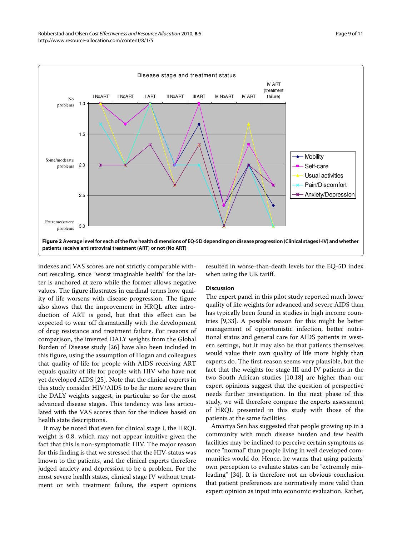<span id="page-8-0"></span>

indexes and VAS scores are not strictly comparable without rescaling, since "worst imaginable health" for the latter is anchored at zero while the former allows negative values. The figure illustrates in cardinal terms how quality of life worsens with disease progression. The figure also shows that the improvement in HRQL after introduction of ART is good, but that this effect can be expected to wear off dramatically with the development of drug resistance and treatment failure. For reasons of comparison, the inverted DALY weights from the Global Burden of Disease study [[26\]](#page-10-12) have also been included in this figure, using the assumption of Hogan and colleagues that quality of life for people with AIDS receiving ART equals quality of life for people with HIV who have not yet developed AIDS [[25\]](#page-10-11). Note that the clinical experts in this study consider HIV/AIDS to be far more severe than the DALY weights suggest, in particular so for the most advanced disease stages. This tendency was less articulated with the VAS scores than for the indices based on health state descriptions.

It may be noted that even for clinical stage I, the HRQL weight is 0.8, which may not appear intuitive given the fact that this is non-symptomatic HIV. The major reason for this finding is that we stressed that the HIV-status was known to the patients, and the clinical experts therefore judged anxiety and depression to be a problem. For the most severe health states, clinical stage IV without treatment or with treatment failure, the expert opinions

resulted in worse-than-death levels for the EQ-5D index when using the UK tariff.

#### **Discussion**

The expert panel in this pilot study reported much lower quality of life weights for advanced and severe AIDS than has typically been found in studies in high income countries [\[9](#page-9-6)[,33](#page-10-19)]. A possible reason for this might be better management of opportunistic infection, better nutritional status and general care for AIDS patients in western settings, but it may also be that patients themselves would value their own quality of life more highly than experts do. The first reason seems very plausible, but the fact that the weights for stage III and IV patients in the two South African studies [\[10](#page-9-7)[,18](#page-10-4)] are higher than our expert opinions suggest that the question of perspective needs further investigation. In the next phase of this study, we will therefore compare the experts assessment of HRQL presented in this study with those of the patients at the same facilities.

Amartya Sen has suggested that people growing up in a community with much disease burden and few health facilities may be inclined to perceive certain symptoms as more "normal" than people living in well developed communities would do. Hence, he warns that using patients' own perception to evaluate states can be "extremely misleading" [[34\]](#page-10-20). It is therefore not an obvious conclusion that patient preferences are normatively more valid than expert opinion as input into economic evaluation. Rather,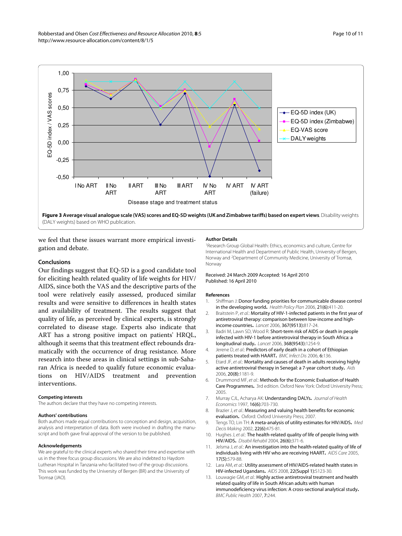<span id="page-9-11"></span>

(DALY weights) based on WHO publication.

we feel that these issues warrant more empirical investigation and debate.

#### **Conclusions**

Our findings suggest that EQ-5D is a good candidate tool for eliciting health related quality of life weights for HIV/ AIDS, since both the VAS and the descriptive parts of the tool were relatively easily assessed, produced similar results and were sensitive to differences in health states and availability of treatment. The results suggest that quality of life, as perceived by clinical experts, is strongly correlated to disease stage. Experts also indicate that ART has a strong positive impact on patients' HRQL, although it seems that this treatment effect rebounds dramatically with the occurrence of drug resistance. More research into these areas in clinical settings in sub-Saharan Africa is needed to qualify future economic evaluations on HIV/AIDS treatment and prevention interventions.

#### **Competing interests**

The authors declare that they have no competing interests.

#### **Authors' contributions**

Both authors made equal contributions to conception and design, acquisition, analysis and interpretation of data. Both were involved in drafting the manuscript and both gave final approval of the version to be published.

#### **Acknowledgements**

We are grateful to the clinical experts who shared their time and expertise with us in the three focus group discussions. We are also indebted to Haydom Lutheran Hospital in Tanzania who facilitated two of the group discussions. This work was funded by the University of Bergen (BR) and the University of Tromsø (JAO).

#### **Author Details**

1Research Group Global Health: Ethics, economics and culture, Centre for International Health and Department of Public Health, University of Bergen, Norway and 2Department of Community Medicine, University of Tromsø, Norway

#### Received: 24 March 2009 Accepted: 16 April 2010 Published: 16 April 2010

#### **References**

- <span id="page-9-0"></span>1. Shiffman J: Donor funding priorities for communicable disease control in the developing world**.** Health Policy Plan 2006, 21(6):411-20.
- <span id="page-9-1"></span>2. Braitstein P, et al.: Mortality of HIV-1-infected patients in the first year of antiretroviral therapy: comparison between low-income and highincome countries**.** Lancet 2006, 367(9513):817-24.
- 3. Badri M, Lawn SD, Wood R: Short-term risk of AIDS or death in people infected with HIV-1 before antiretroviral therapy in South Africa: a longitudinal study**.** Lancet 2006, 368(9543):1254-9.
- 4. Jerene D, et al.: Predictors of early death in a cohort of Ethiopian patients treated with HAART**.** BMC Infect Dis 2006, 6:136.
- <span id="page-9-2"></span>5. Etard JF, et al.: Mortality and causes of death in adults receiving highly active antiretroviral therapy in Senegal: a 7-year cohort study**.** Aids 2006, 20(8):1181-9.
- <span id="page-9-3"></span>6. Drummond MF, et al.: Methods for the Economic Evaluation of Health Care Programmes**.** 3rd edition. Oxford New York: Oxford University Press; 2005.
- <span id="page-9-4"></span>7. Murray CJL, Acharya AK: Understanding DALYs**.** Journal of Health Economics 1997, 16(6):703-730.
- <span id="page-9-5"></span>8. Brazier J, et al.: Measuring and valuing health benefits for economic evaluation**.** Oxford: Oxford University Press; 2007.
- <span id="page-9-6"></span>9. Tengs TO, Lin TH: A meta-analysis of utility estimates for HIV/AIDS**.** Med Decis Making 2002, 22(6):475-81.
- <span id="page-9-7"></span>10. Hughes J, et al.: The health-related quality of life of people living with HIV/AIDS**.** Disabil Rehabil 2004, 26(6):371-6.
- <span id="page-9-9"></span>11. Jelsma J, et al.: An investigation into the health-related quality of life of individuals living with HIV who are receiving HAART**.** AIDS Care 2005, 17(5):579-88.
- <span id="page-9-10"></span>12. Lara AM, et al.: Utility assessment of HIV/AIDS-related health states in HIV-infected Ugandans**.** AIDS 2008, 22(Suppl 1):S123-30.
- <span id="page-9-8"></span>13. Louwagie GM, et al.: Highly active antiretroviral treatment and health related quality of life in South African adults with human immunodeficiency virus infection: A cross-sectional analytical study**.** BMC Public Health 2007, 7:244.